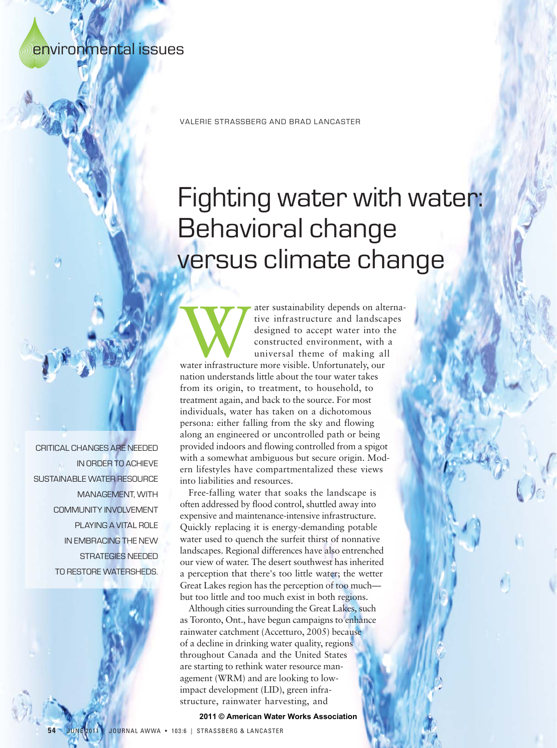# environmental issues

VALERIE STRASSBERG AND BRAD LANCASTER

# Fighting water with water: Behavioral change versus climate change

ater sustainability depends on alterna-<br>tive infrastructure and landscapes<br>designed to accept water into the<br>constructed environment, with a<br>universal theme of making all<br>water infrastructure more visible. Unfortunately, o tive infrastructure and landscapes designed to accept water into the constructed environment, with a universal theme of making all nation understands little about the tour water takes from its origin, to treatment, to household, to treatment again, and back to the source. For most individuals, water has taken on a dichotomous persona: either falling from the sky and flowing along an engineered or uncontrolled path or being provided indoors and flowing controlled from a spigot with a somewhat ambiguous but secure origin. Modern lifestyles have compartmentalized these views into liabilities and resources.

Free-falling water that soaks the landscape is often addressed by flood control, shuttled away into expensive and maintenance-intensive infrastructure. Quickly replacing it is energy-demanding potable water used to quench the surfeit thirst of nonnative landscapes. Regional differences have also entrenched our view of water. The desert southwest has inherited a perception that there's too little water; the wetter Great Lakes region has the perception of too much but too little and too much exist in both regions.

Although cities surrounding the Great Lakes, such as Toronto, Ont., have begun campaigns to enhance rainwater catchment (Accetturo, 2005) because of a decline in drinking water quality, regions throughout Canada and the United States are starting to rethink water resource management (WRM) and are looking to lowimpact development (LID), green infrastructure, rainwater harvesting, and

**2011 © American Water Works Association**

CRITICAL CHANGES ARE NEEDED IN ORDER TO ACHIEVE SUSTAINABLE WATER RESOURCE MANAGEMENT, WITH COMMUNITY INVOLVEMENT PLAYING A VITAL ROLE IN EMBRACING THE NEW STRATEGIES NEEDED TO RESTORE WATERSHEDS.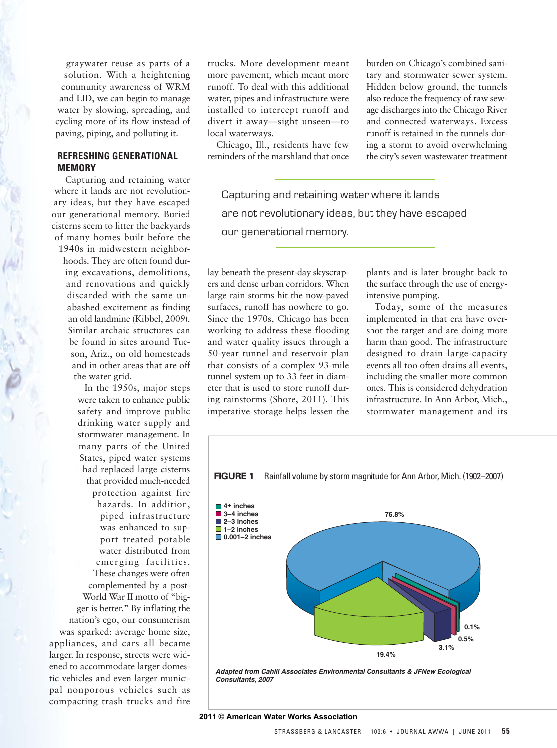graywater reuse as parts of a solution. With a heightening community awareness of WRM and LID, we can begin to manage water by slowing, spreading, and cycling more of its flow instead of paving, piping, and polluting it.

# **REFRESHING GENERATIONAL MEMORY**

Capturing and retaining water where it lands are not revolutionary ideas, but they have escaped our generational memory. Buried cisterns seem to litter the backyards of many homes built before the 1940s in midwestern neighbor-

hoods. They are often found during excavations, demolitions, and renovations and quickly discarded with the same unabashed excitement as finding an old landmine (Kibbel, 2009). Similar archaic structures can be found in sites around Tucson, Ariz., on old homesteads and in other areas that are off the water grid.

In the 1950s, major steps were taken to enhance public safety and improve public drinking water supply and stormwater management. In many parts of the United States, piped water systems had replaced large cisterns that provided much-needed protection against fire hazards. In addition, piped infrastructure was enhanced to support treated potable water distributed from emerging facilities. These changes were often complemented by a post-World War II motto of "bigger is better." By inflating the nation's ego, our consumerism was sparked: average home size, appliances, and cars all became larger. In response, streets were widened to accommodate larger domestic vehicles and even larger municipal nonporous vehicles such as compacting trash trucks and fire trucks. More development meant more pavement, which meant more runoff. To deal with this additional water, pipes and infrastructure were installed to intercept runoff and divert it away—sight unseen—to local waterways.

Chicago, Ill., residents have few reminders of the marshland that once burden on Chicago's combined sanitary and stormwater sewer system. Hidden below ground, the tunnels also reduce the frequency of raw sewage discharges into the Chicago River and connected waterways. Excess runoff is retained in the tunnels during a storm to avoid overwhelming the city's seven wastewater treatment

Capturing and retaining water where it lands are not revolutionary ideas, but they have escaped our generational memory.

lay beneath the present-day skyscrapers and dense urban corridors. When large rain storms hit the now-paved surfaces, runoff has nowhere to go. Since the 1970s, Chicago has been working to address these flooding and water quality issues through a 50-year tunnel and reservoir plan that consists of a complex 93-mile tunnel system up to 33 feet in diameter that is used to store runoff during rainstorms (Shore, 2011). This imperative storage helps lessen the plants and is later brought back to the surface through the use of energyintensive pumping.

Today, some of the measures implemented in that era have overshot the target and are doing more harm than good. The infrastructure designed to drain large-capacity events all too often drains all events, including the smaller more common ones. This is considered dehydration infrastructure. In Ann Arbor, Mich., stormwater management and its





**Adapted from Cahill Associates Environmental Consultants & JFNew Ecological Consultants, 2007**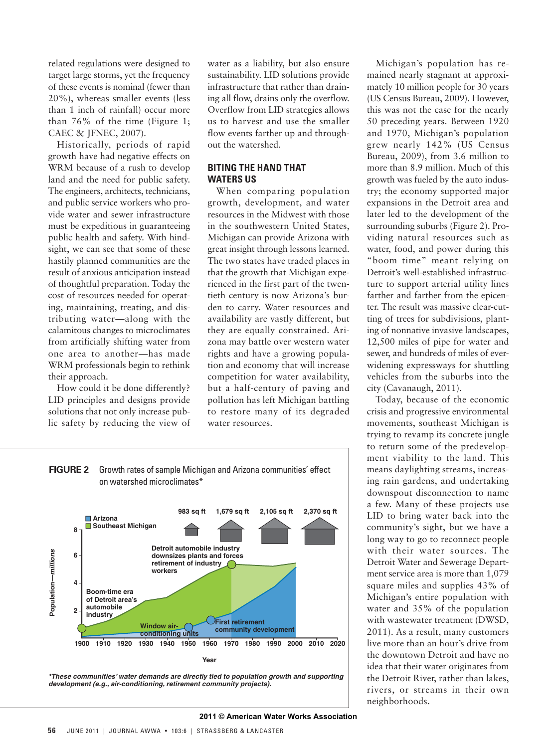related regulations were designed to target large storms, yet the frequency of these events is nominal (fewer than 20%), whereas smaller events (less than 1 inch of rainfall) occur more than 76% of the time (Figure 1; CAEC & JFNEC, 2007).

Historically, periods of rapid growth have had negative effects on WRM because of a rush to develop land and the need for public safety. The engineers, architects, technicians, and public service workers who provide water and sewer infrastructure must be expeditious in guaranteeing public health and safety. With hindsight, we can see that some of these hastily planned communities are the result of anxious anticipation instead of thoughtful preparation. Today the cost of resources needed for operating, maintaining, treating, and distributing water—along with the calamitous changes to microclimates from artificially shifting water from one area to another—has made WRM professionals begin to rethink their approach.

How could it be done differently? LID principles and designs provide solutions that not only increase public safety by reducing the view of water as a liability, but also ensure sustainability. LID solutions provide infrastructure that rather than draining all flow, drains only the overflow. Overflow from LID strategies allows us to harvest and use the smaller flow events farther up and throughout the watershed.

# **BITING THE HAND THAT WATERS US**

When comparing population growth, development, and water resources in the Midwest with those in the southwestern United States, Michigan can provide Arizona with great insight through lessons learned. The two states have traded places in that the growth that Michigan experienced in the first part of the twentieth century is now Arizona's burden to carry. Water resources and availability are vastly different, but they are equally constrained. Arizona may battle over western water rights and have a growing population and economy that will increase competition for water availability, but a half-century of paving and pollution has left Michigan battling to restore many of its degraded water resources.



**\*These communities' water demands are directly tied to population growth and supporting development (e.g., air-conditioning, retirement community projects).**

Michigan's population has remained nearly stagnant at approximately 10 million people for 30 years (US Census Bureau, 2009). However, this was not the case for the nearly 50 preceding years. Between 1920 and 1970, Michigan's population grew nearly 142% (US Census Bureau, 2009), from 3.6 million to more than 8.9 million. Much of this growth was fueled by the auto industry; the economy supported major expansions in the Detroit area and later led to the development of the surrounding suburbs (Figure 2). Providing natural resources such as water, food, and power during this "boom time" meant relying on Detroit's well-established infrastructure to support arterial utility lines farther and farther from the epicenter. The result was massive clear-cutting of trees for subdivisions, planting of nonnative invasive landscapes, 12,500 miles of pipe for water and sewer, and hundreds of miles of everwidening expressways for shuttling vehicles from the suburbs into the city (Cavanaugh, 2011).

Today, because of the economic crisis and progressive environmental movements, southeast Michigan is trying to revamp its concrete jungle to return some of the predevelopment viability to the land. This means daylighting streams, increasing rain gardens, and undertaking downspout disconnection to name a few. Many of these projects use LID to bring water back into the community's sight, but we have a long way to go to reconnect people with their water sources. The Detroit Water and Sewerage Department service area is more than 1,079 square miles and supplies 43% of Michigan's entire population with water and 35% of the population with wastewater treatment (DWSD, 2011). As a result, many customers live more than an hour's drive from the downtown Detroit and have no idea that their water originates from the Detroit River, rather than lakes, rivers, or streams in their own neighborhoods.

#### **2011 © American Water Works Association**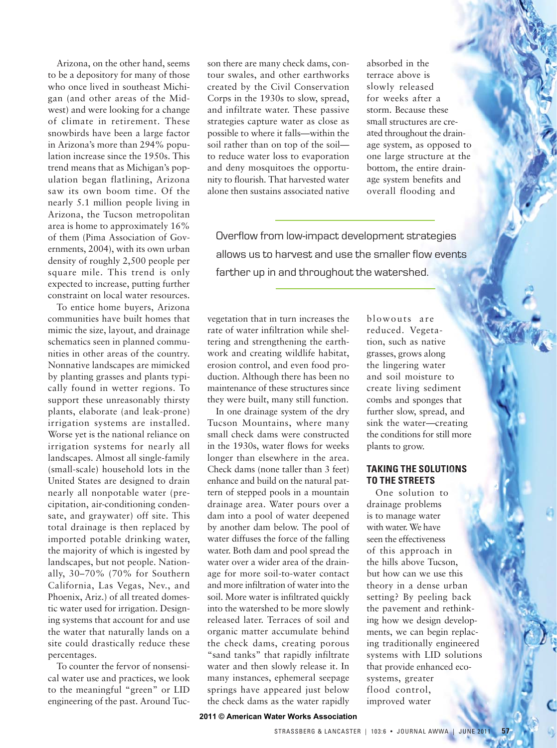Arizona, on the other hand, seems to be a depository for many of those who once lived in southeast Michigan (and other areas of the Midwest) and were looking for a change of climate in retirement. These snowbirds have been a large factor in Arizona's more than 294% population increase since the 1950s. This trend means that as Michigan's population began flatlining, Arizona saw its own boom time. Of the nearly 5.1 million people living in Arizona, the Tucson metropolitan area is home to approximately 16% of them (Pima Association of Governments, 2004), with its own urban density of roughly 2,500 people per square mile. This trend is only expected to increase, putting further constraint on local water resources.

To entice home buyers, Arizona communities have built homes that mimic the size, layout, and drainage schematics seen in planned communities in other areas of the country. Nonnative landscapes are mimicked by planting grasses and plants typically found in wetter regions. To support these unreasonably thirsty plants, elaborate (and leak-prone) irrigation systems are installed. Worse yet is the national reliance on irrigation systems for nearly all landscapes. Almost all single-family (small-scale) household lots in the United States are designed to drain nearly all nonpotable water (precipitation, air-conditioning condensate, and graywater) off site. This total drainage is then replaced by imported potable drinking water, the majority of which is ingested by landscapes, but not people. Nationally, 30–70% (70% for Southern California, Las Vegas, Nev., and Phoenix, Ariz.) of all treated domestic water used for irrigation. Designing systems that account for and use the water that naturally lands on a site could drastically reduce these percentages.

To counter the fervor of nonsensical water use and practices, we look to the meaningful "green" or LID engineering of the past. Around Tuc-

son there are many check dams, contour swales, and other earthworks created by the Civil Conservation Corps in the 1930s to slow, spread, and infiltrate water. These passive strategies capture water as close as possible to where it falls—within the soil rather than on top of the soil to reduce water loss to evaporation and deny mosquitoes the opportunity to flourish. That harvested water alone then sustains associated native absorbed in the absorbed in the<br>terrace above is slowly released for weeks after a storm. Because these small structures are created throughout the drainage system, as opposed to one large structure at the bottom, the entire drainbottom, the entire drain<br>age system benefits and overall flooding and ted throughout the drain-<br>ge system, as opposed to<br>ne large structure at the

Overflow from low-impact development strategies allows us to harvest and use the smaller flow events farther up in and throughout the watershed.

vegetation that in turn increases the rate of water infiltration while sheltering and strengthening the earthwork and creating wildlife habitat, erosion control, and even food production. Although there has been no maintenance of these structures since they were built, many still function.

In one drainage system of the dry Tucson Mountains, where many small check dams were constructed in the 1930s, water flows for weeks longer than elsewhere in the area. Check dams (none taller than 3 feet) enhance and build on the natural pattern of stepped pools in a mountain drainage area. Water pours over a dam into a pool of water deepened by another dam below. The pool of water diffuses the force of the falling water. Both dam and pool spread the water over a wider area of the drainage for more soil-to-water contact and more infiltration of water into the soil. More water is infiltrated quickly into the watershed to be more slowly released later. Terraces of soil and organic matter accumulate behind the check dams, creating porous "sand tanks" that rapidly infiltrate water and then slowly release it. In many instances, ephemeral seepage springs have appeared just below the check dams as the water rapidly

blowouts are re duced. Vegetation, such as native grasses, grows along the lingering water and soil moisture to create living sediment combs and sponges that further slow, spread, and sink the water—creating sink the water—creating<br>the conditions for still more plants to grow.

# **TAKING THE SOLUTIONS** TAKING THE SOL<br>TO THE STREETS

One solution to drainage problems<br>is to manage water is to manage water with water. We have with water. We have<br>seen the effectiveness of this approach in in the hills above Tucson, the hills above Tucson,<br>but how can we use this theory in a dense urban theory in a dense urban<br>setting? By peeling back the pavement and rethinking how we design developments, we can begin replacing traditionally engineered systems with LID solutions that provide enhanced ecosystems, greater flood control, im proved water mproved water g how we design develop-<br>ents, we can begin replac-<br>g traditionally engineered

#### **2011 © American Water Works Association**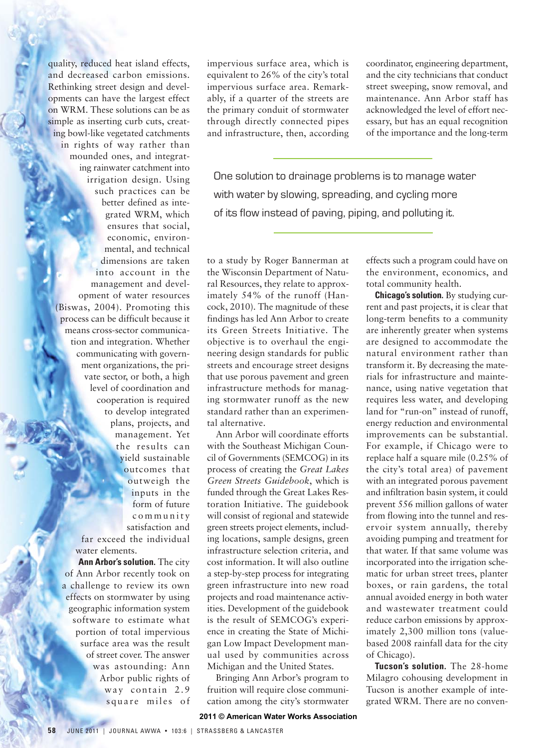quality, reduced heat island effects, and decreased carbon emissions. Rethinking street design and developments can have the largest effect on WRM. These solutions can be as simple as inserting curb cuts, creating bowl-like vegetated catchments in rights of way rather than mounded ones, and integrating rainwater catchment into irrigation design. Using such practices can be better defined as integrated WRM, which ensures that social, economic, environmental, and technical dimensions are taken into account in the management and development of water resources (Biswas, 2004). Promoting this process can be difficult because it means cross-sector communication and integration. Whether communicating with government organizations, the private sector, or both, a high level of coordination and cooperation is required to develop integrated plans, projects, and management. Yet the results can yield sustainable outcomes that outweigh the inputs in the form of future c o m m u n i t y satisfaction and

far exceed the individual water elements.

**Ann Arbor's solution.** The city of Ann Arbor recently took on a challenge to review its own effects on stormwater by using geographic information system software to estimate what portion of total impervious surface area was the result of street cover. The answer was astounding: Ann Arbor public rights of way contain 2.9 square miles of impervious surface area, which is equivalent to 26% of the city's total impervious surface area. Remarkably, if a quarter of the streets are the primary conduit of stormwater through directly connected pipes and infrastructure, then, according coordinator, engineering department, and the city technicians that conduct street sweeping, snow removal, and maintenance. Ann Arbor staff has acknowledged the level of effort necessary, but has an equal recognition of the importance and the long-term

One solution to drainage problems is to manage water with water by slowing, spreading, and cycling more of its flow instead of paving, piping, and polluting it.

to a study by Roger Bannerman at the Wisconsin Department of Natural Resources, they relate to approximately 54% of the runoff (Hancock, 2010). The magnitude of these findings has led Ann Arbor to create its Green Streets Initiative. The objective is to overhaul the engineering design standards for public streets and encourage street designs that use porous pavement and green infrastructure methods for managing stormwater runoff as the new standard rather than an experimental alternative.

Ann Arbor will coordinate efforts with the Southeast Michigan Council of Governments (SEMCOG) in its process of creating the *Great Lakes Green Streets Guidebook*, which is funded through the Great Lakes Restoration Initiative. The guidebook will consist of regional and statewide green streets project elements, including locations, sample designs, green infrastructure selection criteria, and cost information. It will also outline a step-by-step process for integrating green infrastructure into new road projects and road maintenance activities. Development of the guidebook is the result of SEMCOG's experience in creating the State of Michigan Low Impact Development manual used by communities across Michigan and the United States.

Bringing Ann Arbor's program to fruition will require close communication among the city's stormwater effects such a program could have on the environment, economics, and total community health.

**Chicago's solution.** By studying current and past projects, it is clear that long-term benefits to a community are inherently greater when systems are designed to accommodate the natural environment rather than transform it. By decreasing the materials for infrastructure and maintenance, using native vegetation that requires less water, and developing land for "run-on" instead of runoff, energy reduction and environmental improvements can be substantial. For example, if Chicago were to replace half a square mile (0.25% of the city's total area) of pavement with an integrated porous pavement and infiltration basin system, it could prevent 556 million gallons of water from flowing into the tunnel and reservoir system annually, thereby avoiding pumping and treatment for that water. If that same volume was incorporated into the irrigation schematic for urban street trees, planter boxes, or rain gardens, the total annual avoided energy in both water and wastewater treatment could reduce carbon emissions by approximately 2,300 million tons (valuebased 2008 rainfall data for the city of Chicago).

**Tucson's solution.** The 28-home Milagro cohousing development in Tucson is another example of integrated WRM. There are no conven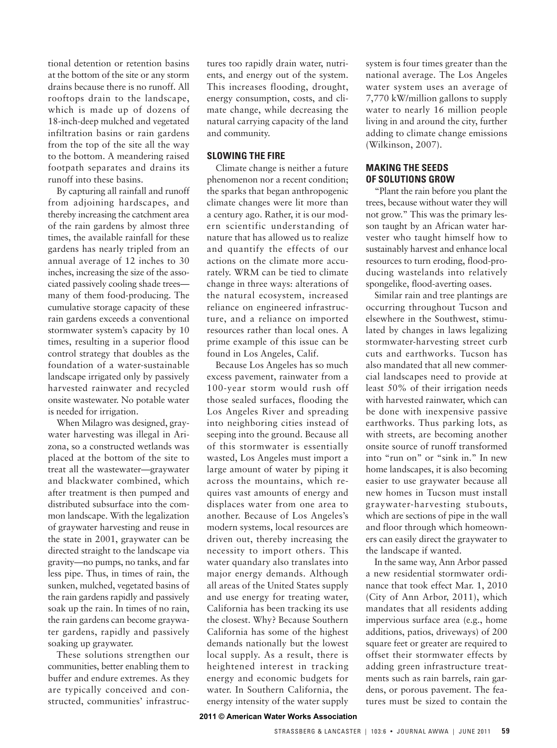tional detention or retention basins at the bottom of the site or any storm drains because there is no runoff. All rooftops drain to the landscape, which is made up of dozens of 18-inch-deep mulched and vegetated infiltration basins or rain gardens from the top of the site all the way to the bottom. A meandering raised footpath separates and drains its runoff into these basins.

By capturing all rainfall and runoff from adjoining hardscapes, and thereby increasing the catchment area of the rain gardens by almost three times, the available rainfall for these gardens has nearly tripled from an annual average of 12 inches to 30 inches, increasing the size of the associated passively cooling shade trees many of them food-producing. The cumulative storage capacity of these rain gardens exceeds a conventional stormwater system's capacity by 10 times, resulting in a superior flood control strategy that doubles as the foundation of a water-sustainable landscape irrigated only by passively harvested rainwater and recycled onsite wastewater. No potable water is needed for irrigation.

When Milagro was designed, graywater harvesting was illegal in Arizona, so a constructed wetlands was placed at the bottom of the site to treat all the wastewater—graywater and blackwater combined, which after treatment is then pumped and distributed subsurface into the common landscape. With the legalization of graywater harvesting and reuse in the state in 2001, graywater can be directed straight to the landscape via gravity—no pumps, no tanks, and far less pipe. Thus, in times of rain, the sunken, mulched, vegetated basins of the rain gardens rapidly and passively soak up the rain. In times of no rain, the rain gardens can become graywater gardens, rapidly and passively soaking up graywater.

These solutions strengthen our communities, better enabling them to buffer and endure extremes. As they are typically conceived and constructed, communities' infrastructures too rapidly drain water, nutrients, and energy out of the system. This increases flooding, drought, energy consumption, costs, and climate change, while decreasing the natural carrying capacity of the land and community.

# **SLOWING THE FIRE**

Climate change is neither a future phenomenon nor a recent condition; the sparks that began anthropogenic climate changes were lit more than a century ago. Rather, it is our modern scientific understanding of nature that has allowed us to realize and quantify the effects of our actions on the climate more accurately. WRM can be tied to climate change in three ways: alterations of the natural ecosystem, increased reliance on engineered infrastructure, and a reliance on imported resources rather than local ones. A prime example of this issue can be found in Los Angeles, Calif.

Because Los Angeles has so much excess pavement, rainwater from a 100-year storm would rush off those sealed surfaces, flooding the Los Angeles River and spreading into neighboring cities instead of seeping into the ground. Because all of this stormwater is essentially wasted, Los Angeles must import a large amount of water by piping it across the mountains, which requires vast amounts of energy and displaces water from one area to another. Because of Los Angeles's modern systems, local resources are driven out, thereby increasing the necessity to import others. This water quandary also translates into major energy demands. Although all areas of the United States supply and use energy for treating water, California has been tracking its use the closest. Why? Because Southern California has some of the highest demands nationally but the lowest local supply. As a result, there is heightened interest in tracking energy and economic budgets for water. In Southern California, the energy intensity of the water supply

system is four times greater than the national average. The Los Angeles water system uses an average of 7,770 kW/million gallons to supply water to nearly 16 million people living in and around the city, further adding to climate change emissions (Wilkinson, 2007).

# **MAKING THE SEEDS OF SOLUTIONS GROW**

"Plant the rain before you plant the trees, because without water they will not grow." This was the primary lesson taught by an African water harvester who taught himself how to sustainably harvest and enhance local resources to turn eroding, flood-producing wastelands into relatively spongelike, flood-averting oases.

Similar rain and tree plantings are occurring throughout Tucson and elsewhere in the Southwest, stimulated by changes in laws legalizing stormwater-harvesting street curb cuts and earthworks. Tucson has also mandated that all new commercial landscapes need to provide at least 50% of their irrigation needs with harvested rainwater, which can be done with inexpensive passive earthworks. Thus parking lots, as with streets, are becoming another onsite source of runoff transformed into "run on" or "sink in." In new home landscapes, it is also becoming easier to use graywater because all new homes in Tucson must install graywater-harvesting stubouts, which are sections of pipe in the wall and floor through which homeowners can easily direct the graywater to the landscape if wanted.

In the same way, Ann Arbor passed a new residential stormwater ordinance that took effect Mar. 1, 2010 (City of Ann Arbor, 2011), which mandates that all residents adding impervious surface area (e.g., home additions, patios, driveways) of 200 square feet or greater are required to offset their stormwater effects by adding green infrastructure treatments such as rain barrels, rain gardens, or porous pavement. The features must be sized to contain the

#### **2011 © American Water Works Association**